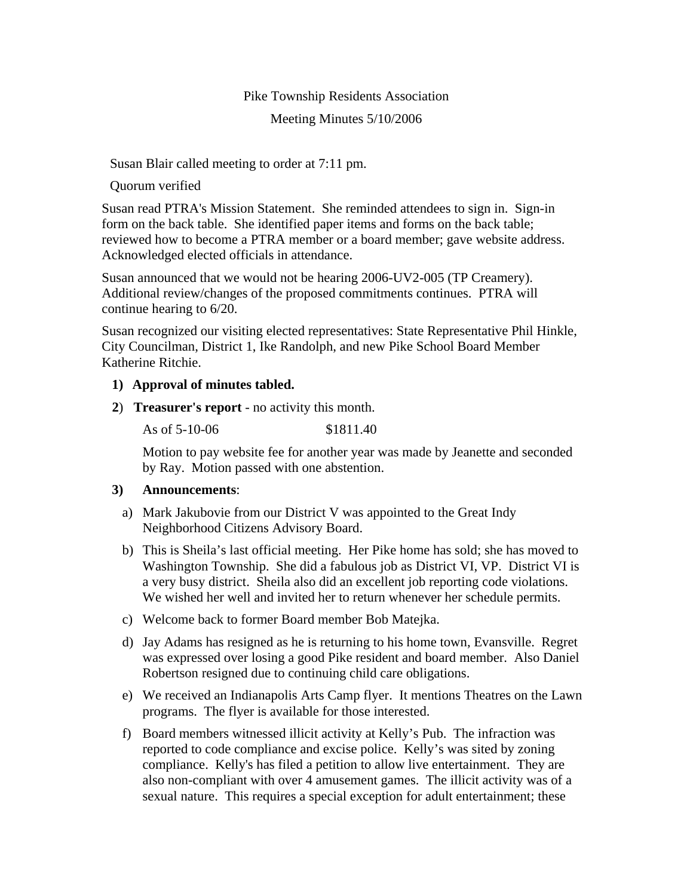## Pike Township Residents Association

### Meeting Minutes 5/10/2006

## Susan Blair called meeting to order at 7:11 pm.

Quorum verified

Susan read PTRA's Mission Statement. She reminded attendees to sign in. Sign-in form on the back table. She identified paper items and forms on the back table; reviewed how to become a PTRA member or a board member; gave website address. Acknowledged elected officials in attendance.

Susan announced that we would not be hearing 2006-UV2-005 (TP Creamery). Additional review/changes of the proposed commitments continues. PTRA will continue hearing to 6/20.

Susan recognized our visiting elected representatives: State Representative Phil Hinkle, City Councilman, District 1, Ike Randolph, and new Pike School Board Member Katherine Ritchie.

### **1) Approval of minutes tabled.**

**2**) **Treasurer's report** - no activity this month.

As of 5-10-06 \$1811.40

 Motion to pay website fee for another year was made by Jeanette and seconded by Ray. Motion passed with one abstention.

#### **3) Announcements**:

- a) Mark Jakubovie from our District V was appointed to the Great Indy Neighborhood Citizens Advisory Board.
- b) This is Sheila's last official meeting. Her Pike home has sold; she has moved to Washington Township. She did a fabulous job as District VI, VP. District VI is a very busy district. Sheila also did an excellent job reporting code violations. We wished her well and invited her to return whenever her schedule permits.
- c) Welcome back to former Board member Bob Matejka.
- d) Jay Adams has resigned as he is returning to his home town, Evansville. Regret was expressed over losing a good Pike resident and board member. Also Daniel Robertson resigned due to continuing child care obligations.
- e) We received an Indianapolis Arts Camp flyer. It mentions Theatres on the Lawn programs. The flyer is available for those interested.
- f) Board members witnessed illicit activity at Kelly's Pub. The infraction was reported to code compliance and excise police. Kelly's was sited by zoning compliance. Kelly's has filed a petition to allow live entertainment. They are also non-compliant with over 4 amusement games. The illicit activity was of a sexual nature. This requires a special exception for adult entertainment; these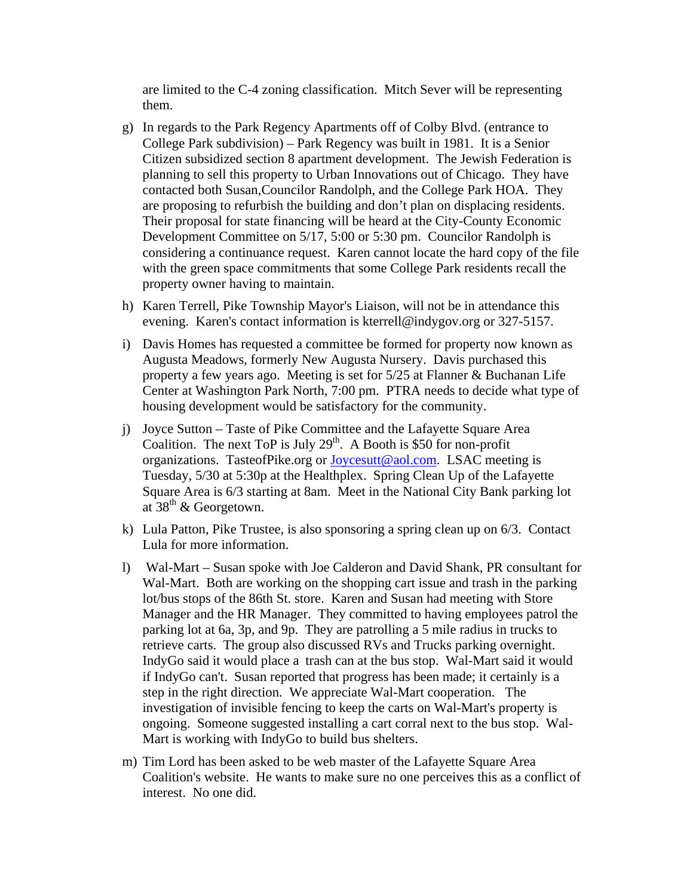are limited to the C-4 zoning classification. Mitch Sever will be representing them.

- g) In regards to the Park Regency Apartments off of Colby Blvd. (entrance to College Park subdivision) – Park Regency was built in 1981. It is a Senior Citizen subsidized section 8 apartment development. The Jewish Federation is planning to sell this property to Urban Innovations out of Chicago. They have contacted both Susan,Councilor Randolph, and the College Park HOA. They are proposing to refurbish the building and don't plan on displacing residents. Their proposal for state financing will be heard at the City-County Economic Development Committee on 5/17, 5:00 or 5:30 pm. Councilor Randolph is considering a continuance request. Karen cannot locate the hard copy of the file with the green space commitments that some College Park residents recall the property owner having to maintain.
- h) Karen Terrell, Pike Township Mayor's Liaison, will not be in attendance this evening. Karen's contact information is kterrell@indygov.org or 327-5157.
- i) Davis Homes has requested a committee be formed for property now known as Augusta Meadows, formerly New Augusta Nursery. Davis purchased this property a few years ago. Meeting is set for 5/25 at Flanner & Buchanan Life Center at Washington Park North, 7:00 pm. PTRA needs to decide what type of housing development would be satisfactory for the community.
- j) Joyce Sutton Taste of Pike Committee and the Lafayette Square Area Coalition. The next ToP is July  $29<sup>th</sup>$ . A Booth is \$50 for non-profit organizations. TasteofPike.org or Joycesutt@aol.com. LSAC meeting is Tuesday, 5/30 at 5:30p at the Healthplex. Spring Clean Up of the Lafayette Square Area is 6/3 starting at 8am. Meet in the National City Bank parking lot at  $38<sup>th</sup>$  & Georgetown.
- k) Lula Patton, Pike Trustee, is also sponsoring a spring clean up on 6/3. Contact Lula for more information.
- l) Wal-Mart Susan spoke with Joe Calderon and David Shank, PR consultant for Wal-Mart. Both are working on the shopping cart issue and trash in the parking lot/bus stops of the 86th St. store. Karen and Susan had meeting with Store Manager and the HR Manager. They committed to having employees patrol the parking lot at 6a, 3p, and 9p. They are patrolling a 5 mile radius in trucks to retrieve carts. The group also discussed RVs and Trucks parking overnight. IndyGo said it would place a trash can at the bus stop. Wal-Mart said it would if IndyGo can't. Susan reported that progress has been made; it certainly is a step in the right direction. We appreciate Wal-Mart cooperation. The investigation of invisible fencing to keep the carts on Wal-Mart's property is ongoing. Someone suggested installing a cart corral next to the bus stop. Wal- Mart is working with IndyGo to build bus shelters.
- m) Tim Lord has been asked to be web master of the Lafayette Square Area Coalition's website. He wants to make sure no one perceives this as a conflict of interest. No one did.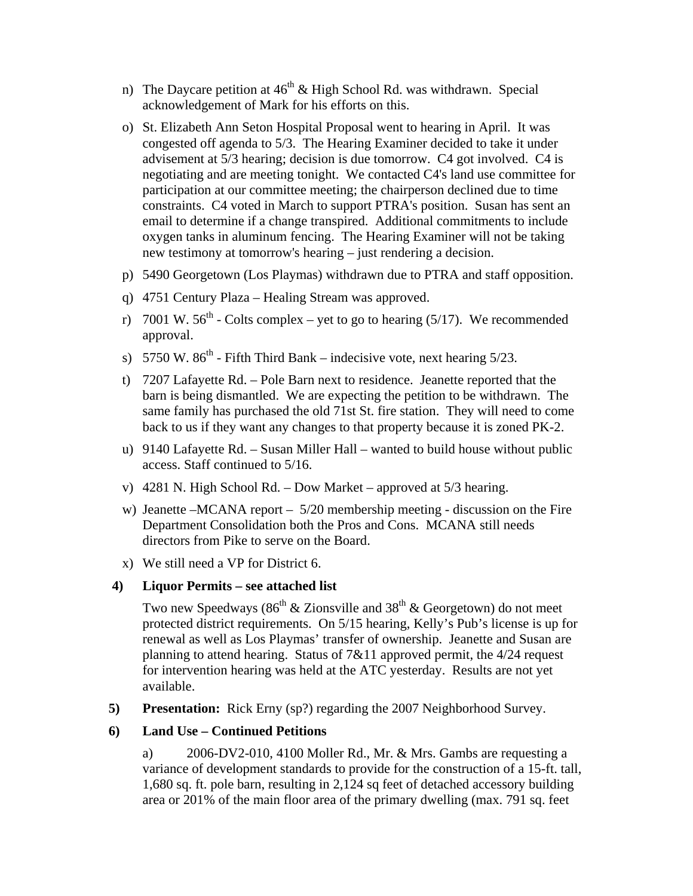- n) The Daycare petition at  $46<sup>th</sup>$  & High School Rd. was withdrawn. Special acknowledgement of Mark for his efforts on this.
- o) St. Elizabeth Ann Seton Hospital Proposal went to hearing in April. It was congested off agenda to 5/3. The Hearing Examiner decided to take it under advisement at 5/3 hearing; decision is due tomorrow. C4 got involved. C4 is negotiating and are meeting tonight. We contacted C4's land use committee for participation at our committee meeting; the chairperson declined due to time constraints. C4 voted in March to support PTRA's position. Susan has sent an email to determine if a change transpired. Additional commitments to include oxygen tanks in aluminum fencing. The Hearing Examiner will not be taking new testimony at tomorrow's hearing – just rendering a decision.
- p) 5490 Georgetown (Los Playmas) withdrawn due to PTRA and staff opposition.
- q) 4751 Century Plaza Healing Stream was approved.
- r) 7001 W.  $56<sup>th</sup>$  Colts complex yet to go to hearing (5/17). We recommended approval.
- s) 5750 W.  $86<sup>th</sup>$  Fifth Third Bank indecisive vote, next hearing 5/23.
- t) 7207 Lafayette Rd. Pole Barn next to residence. Jeanette reported that the barn is being dismantled. We are expecting the petition to be withdrawn. The same family has purchased the old 71st St. fire station. They will need to come back to us if they want any changes to that property because it is zoned PK-2.
- u) 9140 Lafayette Rd. Susan Miller Hall wanted to build house without public access. Staff continued to 5/16.
- v) 4281 N. High School Rd. Dow Market approved at 5/3 hearing.
- w) Jeanette –MCANA report 5/20 membership meeting discussion on the Fire Department Consolidation both the Pros and Cons. MCANA still needs directors from Pike to serve on the Board.
- x) We still need a VP for District 6.

# **4) Liquor Permits – see attached list**

Two new Speedways ( $86<sup>th</sup>$  & Zionsville and  $38<sup>th</sup>$  & Georgetown) do not meet protected district requirements. On 5/15 hearing, Kelly's Pub's license is up for renewal as well as Los Playmas' transfer of ownership. Jeanette and Susan are planning to attend hearing. Status of  $7\&11$  approved permit, the 4/24 request for intervention hearing was held at the ATC yesterday. Results are not yet available.

**5)** Presentation: Rick Erny (sp?) regarding the 2007 Neighborhood Survey.

# **6) Land Use – Continued Petitions**

 a) 2006-DV2-010, 4100 Moller Rd., Mr. & Mrs. Gambs are requesting a variance of development standards to provide for the construction of a 15-ft. tall, 1,680 sq. ft. pole barn, resulting in 2,124 sq feet of detached accessory building area or 201% of the main floor area of the primary dwelling (max. 791 sq. feet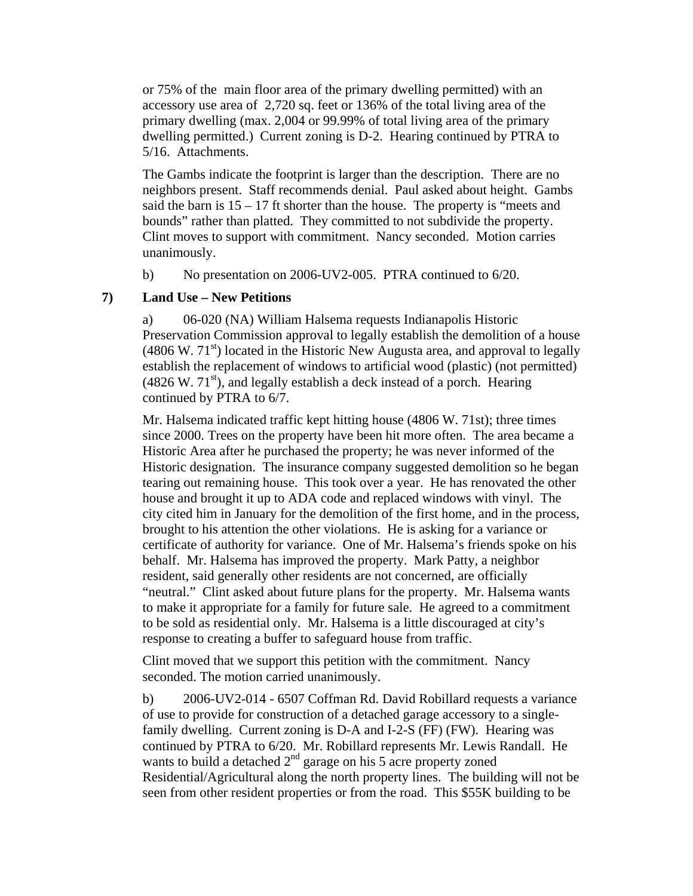or 75% of the main floor area of the primary dwelling permitted) with an accessory use area of 2,720 sq. feet or 136% of the total living area of the primary dwelling (max. 2,004 or 99.99% of total living area of the primary dwelling permitted.) Current zoning is D-2. Hearing continued by PTRA to 5/16. Attachments.

 The Gambs indicate the footprint is larger than the description. There are no neighbors present. Staff recommends denial. Paul asked about height. Gambs said the barn is  $15 - 17$  ft shorter than the house. The property is "meets and bounds" rather than platted. They committed to not subdivide the property. Clint moves to support with commitment. Nancy seconded. Motion carries unanimously.

b) No presentation on 2006-UV2-005. PTRA continued to 6/20.

## **7) Land Use – New Petitions**

a) 06-020 (NA) William Halsema requests Indianapolis Historic Preservation Commission approval to legally establish the demolition of a house  $(4806 \text{ W}$ .  $71^{\text{st}})$  located in the Historic New Augusta area, and approval to legally establish the replacement of windows to artificial wood (plastic) (not permitted)  $(4826 \text{ W. } 71^{\text{st}})$ , and legally establish a deck instead of a porch. Hearing continued by PTRA to 6/7.

 Mr. Halsema indicated traffic kept hitting house (4806 W. 71st); three times since 2000. Trees on the property have been hit more often. The area became a Historic Area after he purchased the property; he was never informed of the Historic designation. The insurance company suggested demolition so he began tearing out remaining house. This took over a year. He has renovated the other house and brought it up to ADA code and replaced windows with vinyl. The city cited him in January for the demolition of the first home, and in the process, brought to his attention the other violations. He is asking for a variance or certificate of authority for variance. One of Mr. Halsema's friends spoke on his behalf. Mr. Halsema has improved the property. Mark Patty, a neighbor resident, said generally other residents are not concerned, are officially "neutral." Clint asked about future plans for the property. Mr. Halsema wants to make it appropriate for a family for future sale. He agreed to a commitment to be sold as residential only. Mr. Halsema is a little discouraged at city's response to creating a buffer to safeguard house from traffic.

 Clint moved that we support this petition with the commitment. Nancy seconded. The motion carried unanimously.

 b) 2006-UV2-014 - 6507 Coffman Rd. David Robillard requests a variance of use to provide for construction of a detached garage accessory to a single family dwelling. Current zoning is D-A and I-2-S (FF) (FW). Hearing was continued by PTRA to 6/20. Mr. Robillard represents Mr. Lewis Randall. He wants to build a detached  $2<sup>nd</sup>$  garage on his 5 acre property zoned Residential/Agricultural along the north property lines. The building will not be seen from other resident properties or from the road. This \$55K building to be